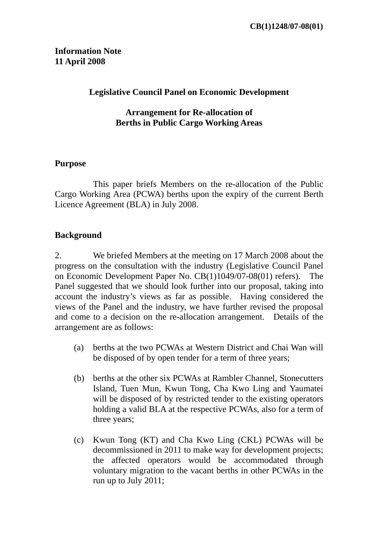# **Information Note 11 April 2008**

### **Legislative Council Panel on Economic Development**

### **Arrangement for Re-allocation of Berths in Public Cargo Working Areas**

#### **Purpose**

 This paper briefs Members on the re-allocation of the Public Cargo Working Area (PCWA) berths upon the expiry of the current Berth Licence Agreement (BLA) in July 2008.

## **Background**

2. We briefed Members at the meeting on 17 March 2008 about the progress on the consultation with the industry (Legislative Council Panel on Economic Development Paper No. CB(1)1049/07-08(01) refers). The Panel suggested that we should look further into our proposal, taking into account the industry's views as far as possible. Having considered the views of the Panel and the industry, we have further revised the proposal and come to a decision on the re-allocation arrangement. Details of the arrangement are as follows:

- (a) berths at the two PCWAs at Western District and Chai Wan will be disposed of by open tender for a term of three years;
- (b) berths at the other six PCWAs at Rambler Channel, Stonecutters Island, Tuen Mun, Kwun Tong, Cha Kwo Ling and Yaumatei will be disposed of by restricted tender to the existing operators holding a valid BLA at the respective PCWAs, also for a term of three years;
- (c) Kwun Tong (KT) and Cha Kwo Ling (CKL) PCWAs will be decommissioned in 2011 to make way for development projects; the affected operators would be accommodated through voluntary migration to the vacant berths in other PCWAs in the run up to July 2011;